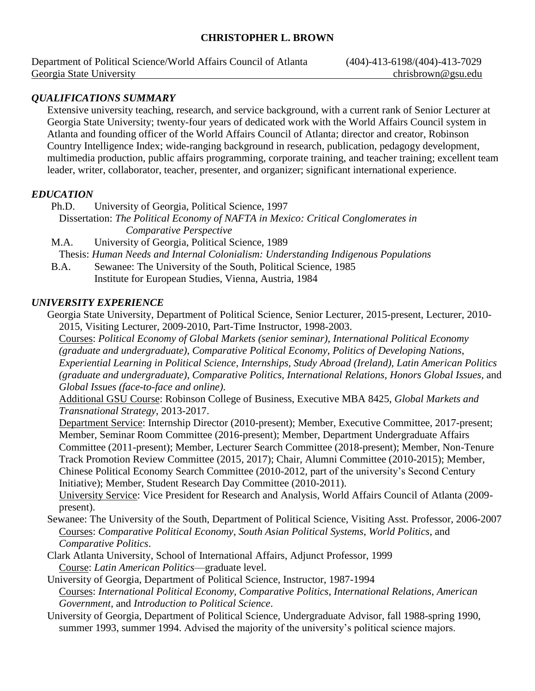# **CHRISTOPHER L. BROWN**

Department of Political Science/World Affairs Council of Atlanta (404)-413-6198/(404)-413-7029 Georgia State University chrisbrown@gsu.edu

# *QUALIFICATIONS SUMMARY*

Extensive university teaching, research, and service background, with a current rank of Senior Lecturer at Georgia State University; twenty-four years of dedicated work with the World Affairs Council system in Atlanta and founding officer of the World Affairs Council of Atlanta; director and creator, Robinson Country Intelligence Index; wide-ranging background in research, publication, pedagogy development, multimedia production, public affairs programming, corporate training, and teacher training; excellent team leader, writer, collaborator, teacher, presenter, and organizer; significant international experience.

### *EDUCATION*

Ph.D. University of Georgia, Political Science, 1997

 Dissertation: *The Political Economy of NAFTA in Mexico: Critical Conglomerates in Comparative Perspective*

M.A. University of Georgia, Political Science, 1989 Thesis: *Human Needs and Internal Colonialism: Understanding Indigenous Populations*

B.A. Sewanee: The University of the South, Political Science, 1985 Institute for European Studies, Vienna, Austria, 1984

### *UNIVERSITY EXPERIENCE*

Georgia State University, Department of Political Science, Senior Lecturer, 2015-present, Lecturer, 2010- 2015, Visiting Lecturer, 2009-2010, Part-Time Instructor, 1998-2003.

Courses: *Political Economy of Global Markets (senior seminar)*, *International Political Economy (graduate and undergraduate), Comparative Political Economy*, *Politics of Developing Nations*, *Experiential Learning in Political Science, Internships, Study Abroad (Ireland), Latin American Politics (graduate and undergraduate)*, *Comparative Politics, International Relations*, *Honors Global Issues,* and *Global Issues (face-to-face and online)*.

Additional GSU Course: Robinson College of Business, Executive MBA 8425, *Global Markets and Transnational Strategy*, 2013-2017.

Department Service: Internship Director (2010-present); Member, Executive Committee, 2017-present; Member, Seminar Room Committee (2016-present); Member, Department Undergraduate Affairs Committee (2011-present); Member, Lecturer Search Committee (2018-present); Member, Non-Tenure Track Promotion Review Committee (2015, 2017); Chair, Alumni Committee (2010-2015); Member, Chinese Political Economy Search Committee (2010-2012, part of the university's Second Century Initiative); Member, Student Research Day Committee (2010-2011).

University Service: Vice President for Research and Analysis, World Affairs Council of Atlanta (2009 present).

- Sewanee: The University of the South, Department of Political Science, Visiting Asst. Professor, 2006-2007 Courses: *Comparative Political Economy*, *South Asian Political Systems*, *World Politics*, and *Comparative Politics*.
- Clark Atlanta University, School of International Affairs, Adjunct Professor, 1999 Course: *Latin American Politics*—graduate level.

University of Georgia, Department of Political Science, Instructor, 1987-1994 Courses: *International Political Economy*, *Comparative Politics*, *International Relations*, *American Government*, and *Introduction to Political Science*.

University of Georgia, Department of Political Science, Undergraduate Advisor, fall 1988-spring 1990, summer 1993, summer 1994. Advised the majority of the university's political science majors.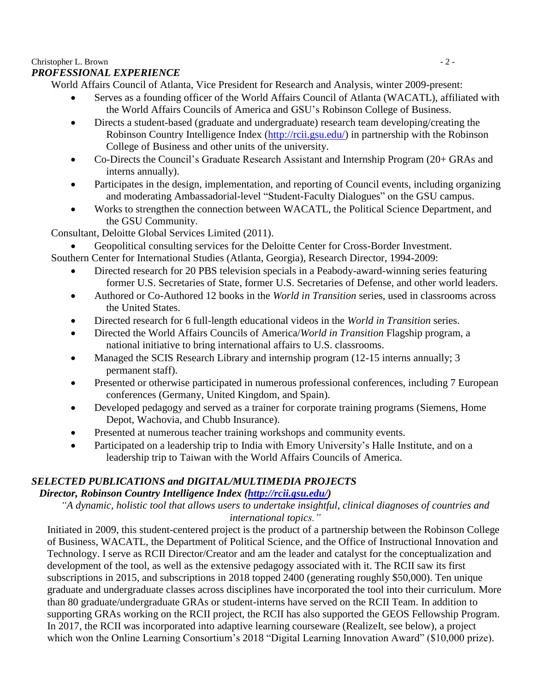# Christopher L. Brown  $\sim$  2 -

# *PROFESSIONAL EXPERIENCE*

World Affairs Council of Atlanta, Vice President for Research and Analysis, winter 2009-present:

- Serves as a founding officer of the World Affairs Council of Atlanta (WACATL), affiliated with the World Affairs Councils of America and GSU's Robinson College of Business.
- Directs a student-based (graduate and undergraduate) research team developing/creating the Robinson Country Intelligence Index [\(http://rcii.gsu.edu/\)](http://rcii.gsu.edu/) in partnership with the Robinson College of Business and other units of the university.
- Co-Directs the Council's Graduate Research Assistant and Internship Program (20+ GRAs and interns annually).
- Participates in the design, implementation, and reporting of Council events, including organizing and moderating Ambassadorial-level "Student-Faculty Dialogues" on the GSU campus.
- Works to strengthen the connection between WACATL, the Political Science Department, and the GSU Community.

Consultant, Deloitte Global Services Limited (2011).

• Geopolitical consulting services for the Deloitte Center for Cross-Border Investment.

Southern Center for International Studies (Atlanta, Georgia), Research Director, 1994-2009:

- Directed research for 20 PBS television specials in a Peabody-award-winning series featuring former U.S. Secretaries of State, former U.S. Secretaries of Defense, and other world leaders.
- Authored or Co-Authored 12 books in the *World in Transition* series, used in classrooms across the United States.
- Directed research for 6 full-length educational videos in the *World in Transition* series.
- Directed the World Affairs Councils of America/*World in Transition* Flagship program, a national initiative to bring international affairs to U.S. classrooms.
- Managed the SCIS Research Library and internship program (12-15 interns annually; 3 permanent staff).
- Presented or otherwise participated in numerous professional conferences, including 7 European conferences (Germany, United Kingdom, and Spain).
- Developed pedagogy and served as a trainer for corporate training programs (Siemens, Home Depot, Wachovia, and Chubb Insurance).
- Presented at numerous teacher training workshops and community events.
- Participated on a leadership trip to India with Emory University's Halle Institute, and on a leadership trip to Taiwan with the World Affairs Councils of America.

# *SELECTED PUBLICATIONS and DIGITAL/MULTIMEDIA PROJECTS*

# *Director, Robinson Country Intelligence Index [\(http://rcii.gsu.edu/\)](http://rcii.gsu.edu/)*

*"A dynamic, holistic tool that allows users to undertake insightful, clinical diagnoses of countries and international topics."*

Initiated in 2009, this student-centered project is the product of a partnership between the Robinson College of Business, WACATL, the Department of Political Science, and the Office of Instructional Innovation and Technology. I serve as RCII Director/Creator and am the leader and catalyst for the conceptualization and development of the tool, as well as the extensive pedagogy associated with it. The RCII saw its first subscriptions in 2015, and subscriptions in 2018 topped 2400 (generating roughly \$50,000). Ten unique graduate and undergraduate classes across disciplines have incorporated the tool into their curriculum. More than 80 graduate/undergraduate GRAs or student-interns have served on the RCII Team. In addition to supporting GRAs working on the RCII project, the RCII has also supported the GEOS Fellowship Program. In 2017, the RCII was incorporated into adaptive learning courseware (RealizeIt, see below), a project which won the Online Learning Consortium's 2018 "Digital Learning Innovation Award" (\$10,000 prize).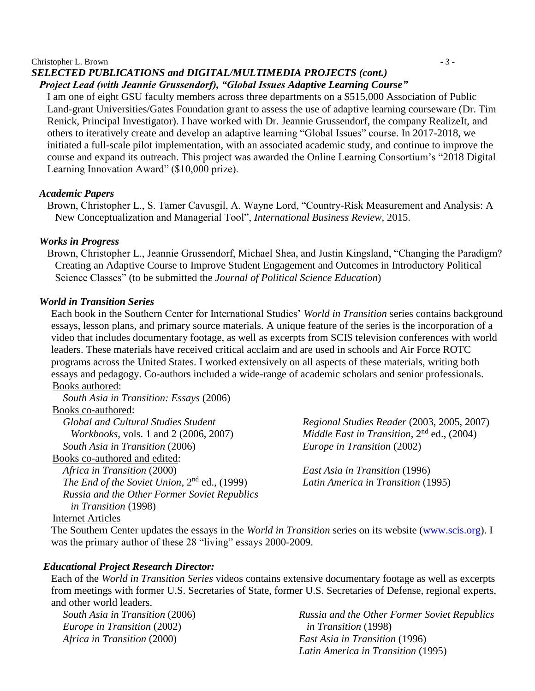#### Christopher L. Brown  $\overline{a}$  - 3 -

# *SELECTED PUBLICATIONS and DIGITAL/MULTIMEDIA PROJECTS (cont.)*

# *Project Lead (with Jeannie Grussendorf), "Global Issues Adaptive Learning Course"*

I am one of eight GSU faculty members across three departments on a \$515,000 Association of Public Land-grant Universities/Gates Foundation grant to assess the use of adaptive learning courseware (Dr. Tim Renick, Principal Investigator). I have worked with Dr. Jeannie Grussendorf, the company RealizeIt, and others to iteratively create and develop an adaptive learning "Global Issues" course. In 2017-2018, we initiated a full-scale pilot implementation, with an associated academic study, and continue to improve the course and expand its outreach. This project was awarded the Online Learning Consortium's "2018 Digital Learning Innovation Award" (\$10,000 prize).

### *Academic Papers*

Brown, Christopher L., S. Tamer Cavusgil, A. Wayne Lord, "Country-Risk Measurement and Analysis: A New Conceptualization and Managerial Tool", *International Business Review*, 2015.

### *Works in Progress*

Brown, Christopher L., Jeannie Grussendorf, Michael Shea, and Justin Kingsland, "Changing the Paradigm? Creating an Adaptive Course to Improve Student Engagement and Outcomes in Introductory Political Science Classes" (to be submitted the *Journal of Political Science Education*)

### *World in Transition Series*

Each book in the Southern Center for International Studies' *World in Transition* series contains background essays, lesson plans, and primary source materials. A unique feature of the series is the incorporation of a video that includes documentary footage, as well as excerpts from SCIS television conferences with world leaders. These materials have received critical acclaim and are used in schools and Air Force ROTC programs across the United States. I worked extensively on all aspects of these materials, writing both essays and pedagogy. Co-authors included a wide-range of academic scholars and senior professionals. Books authored:

*South Asia in Transition: Essays* (2006) Books co-authored: *Global and Cultural Studies Student Workbooks,* vols. 1 and 2 (2006, 2007) *South Asia in Transition* (2006) Books co-authored and edited: *Africa in Transition* (2000) *The End of the Soviet Union*, 2nd ed., (1999) *Russia and the Other Former Soviet Republics in Transition* (1998)

*Regional Studies Reader* (2003, 2005, 2007) *Middle East in Transition*, 2<sup>nd</sup> ed., (2004) *Europe in Transition* (2002)

*East Asia in Transition* (1996) *Latin America in Transition* (1995)

### Internet Articles

The Southern Center updates the essays in the *World in Transition* series on its website [\(www.scis.org\)](http://www.scis.org/). I was the primary author of these 28 "living" essays 2000-2009.

### *Educational Project Research Director:*

Each of the *World in Transition Series* videos contains extensive documentary footage as well as excerpts from meetings with former U.S. Secretaries of State, former U.S. Secretaries of Defense, regional experts, and other world leaders.

*South Asia in Transition* (2006) *Europe in Transition* (2002) *Africa in Transition* (2000)

*Russia and the Other Former Soviet Republics in Transition* (1998) *East Asia in Transition* (1996) *Latin America in Transition* (1995)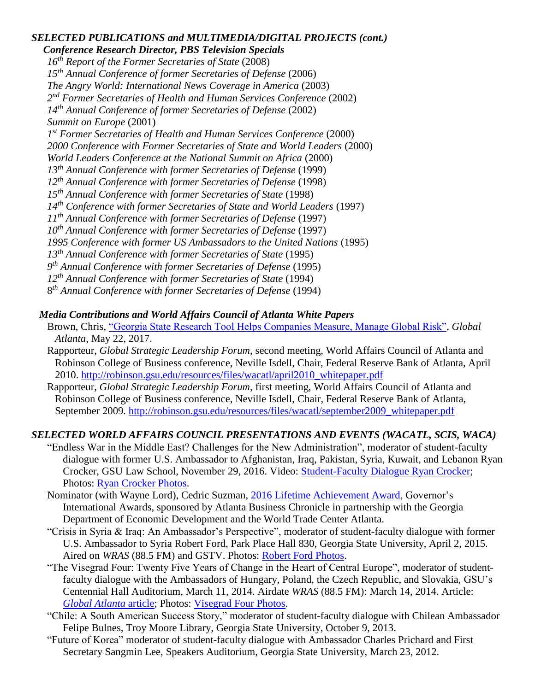# *SELECTED PUBLICATIONS and MULTIMEDIA/DIGITAL PROJECTS (cont.)*

*Conference Research Director, PBS Television Specials th Report of the Former Secretaries of State* (2008) *th Annual Conference of former Secretaries of Defense* (2006) *The Angry World: International News Coverage in America* (2003) *nd Former Secretaries of Health and Human Services Conference* (2002) *th Annual Conference of former Secretaries of Defense* (2002) *Summit on Europe* (2001) *st Former Secretaries of Health and Human Services Conference* (2000) *2000 Conference with Former Secretaries of State and World Leaders* (2000) *World Leaders Conference at the National Summit on Africa* (2000) *th Annual Conference with former Secretaries of Defense* (1999) *th Annual Conference with former Secretaries of Defense* (1998) *th Annual Conference with former Secretaries of State* (1998) *th Conference with former Secretaries of State and World Leaders* (1997) *th Annual Conference with former Secretaries of Defense* (1997) *th Annual Conference with former Secretaries of Defense* (1997) *1995 Conference with former US Ambassadors to the United Nations* (1995) *th Annual Conference with former Secretaries of State* (1995) *th Annual Conference with former Secretaries of Defense* (1995) *th Annual Conference with former Secretaries of State* (1994) *th Annual Conference with former Secretaries of Defense* (1994)

# *Media Contributions and World Affairs Council of Atlanta White Papers*

- Brown, Chris, ["Georgia State Research Tool Helps Companies Measure, Manage Global Risk",](https://www.globalatlanta.com/georgia-state-research-tool-helps-companies-measure-manage-global-risk/) *Global Atlanta*, May 22, 2017.
- Rapporteur, *Global Strategic Leadership Forum*, second meeting, World Affairs Council of Atlanta and Robinson College of Business conference, Neville Isdell, Chair, Federal Reserve Bank of Atlanta, April 2010. [http://robinson.gsu.edu/resources/files/wacatl/april2010\\_whitepaper.pdf](http://robinson.gsu.edu/resources/files/wacatl/april2010_whitepaper.pdf)
- Rapporteur, *Global Strategic Leadership Forum*, first meeting, World Affairs Council of Atlanta and Robinson College of Business conference, Neville Isdell, Chair, Federal Reserve Bank of Atlanta, September 2009. [http://robinson.gsu.edu/resources/files/wacatl/september2009\\_whitepaper.pdf](http://robinson.gsu.edu/resources/files/wacatl/september2009_whitepaper.pdf)

# *SELECTED WORLD AFFAIRS COUNCIL PRESENTATIONS AND EVENTS (WACATL, SCIS, WACA)*

- "Endless War in the Middle East? Challenges for the New Administration", moderator of student-faculty dialogue with former U.S. Ambassador to Afghanistan, Iraq, Pakistan, Syria, Kuwait, and Lebanon Ryan Crocker, GSU Law School, November 29, 2016. Video: [Student-Faculty Dialogue Ryan Crocker;](https://gsu.hosted.panopto.com/Panopto/Pages/Viewer.aspx?id=f0d6fdf7-f6e4-48c0-a363-5dd90fd88107) Photos: [Ryan Crocker Photos.](https://www.flickr.com/photos/wacatl/31306422756/in/album-72157677265946915/)
- Nominator (with Wayne Lord), Cedric Suzman, [2016 Lifetime Achievement Award,](https://www.bizjournals.com/atlanta/news/2016/10/07/lifetime-achievementsuzman-a-catalyst-for.html) Governor's International Awards, sponsored by Atlanta Business Chronicle in partnership with the Georgia Department of Economic Development and the World Trade Center Atlanta.
- "Crisis in Syria & Iraq: An Ambassador's Perspective", moderator of student-faculty dialogue with former U.S. Ambassador to Syria Robert Ford, Park Place Hall 830, Georgia State University, April 2, 2015. Aired on *WRAS* (88.5 FM) and GSTV. Photos: [Robert Ford Photos.](https://www.flickr.com/photos/georgiastateinternational/sets/72157651321817379)
- "The Visegrad Four: Twenty Five Years of Change in the Heart of Central Europe", moderator of studentfaculty dialogue with the Ambassadors of Hungary, Poland, the Czech Republic, and Slovakia, GSU's Centennial Hall Auditorium, March 11, 2014. Airdate *WRAS* (88.5 FM): March 14, 2014. Article: *[Global Atlanta](http://www.globalatlanta.com/article/26812/ambassadors-call-for-closer-us-europe-ties-in-face-of-crimean-crisis/)* article; Photos: [Visegrad Four Photos.](https://www.flickr.com/photos/georgiastateinternational/sets/72157642224261634)
- "Chile: A South American Success Story," moderator of student-faculty dialogue with Chilean Ambassador Felipe Bulnes, Troy Moore Library, Georgia State University, October 9, 2013.
- "Future of Korea" moderator of student-faculty dialogue with Ambassador Charles Prichard and First Secretary Sangmin Lee, Speakers Auditorium, Georgia State University, March 23, 2012.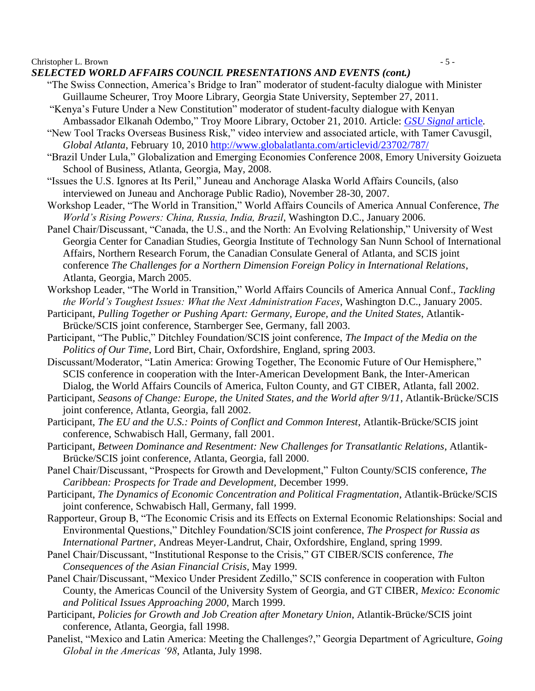Christopher L. Brown  $\sim$  5 -

*SELECTED WORLD AFFAIRS COUNCIL PRESENTATIONS AND EVENTS (cont.)*

- "The Swiss Connection, America's Bridge to Iran" moderator of student-faculty dialogue with Minister Guillaume Scheurer, Troy Moore Library, Georgia State University, September 27, 2011.
- "Kenya's Future Under a New Constitution" moderator of student-faculty dialogue with Kenyan Ambassador Elkanah Odembo," Troy Moore Library, October 21, 2010. Article: *[GSU Signal](http://www.gsusignal.com/news/kenyan-ambassador-speaks-to-students-on-nation-s-future-1.2383358)* article*.*
- "New Tool Tracks Overseas Business Risk," video interview and associated article, with Tamer Cavusgil, *Global Atlanta*, February 10, 2010<http://www.globalatlanta.com/articlevid/23702/787/>
- "Brazil Under Lula," Globalization and Emerging Economies Conference 2008, Emory University Goizueta School of Business, Atlanta, Georgia, May, 2008.
- "Issues the U.S. Ignores at Its Peril," Juneau and Anchorage Alaska World Affairs Councils, (also interviewed on Juneau and Anchorage Public Radio), November 28-30, 2007.
- Workshop Leader, "The World in Transition," World Affairs Councils of America Annual Conference, *The World's Rising Powers: China, Russia, India, Brazil*, Washington D.C., January 2006.
- Panel Chair/Discussant, "Canada, the U.S., and the North: An Evolving Relationship," University of West Georgia Center for Canadian Studies, Georgia Institute of Technology San Nunn School of International Affairs, Northern Research Forum, the Canadian Consulate General of Atlanta, and SCIS joint conference *The Challenges for a Northern Dimension Foreign Policy in International Relations*, Atlanta, Georgia, March 2005.
- Workshop Leader, "The World in Transition," World Affairs Councils of America Annual Conf., *Tackling the World's Toughest Issues: What the Next Administration Faces*, Washington D.C., January 2005.
- Participant, *Pulling Together or Pushing Apart: Germany, Europe, and the United States*, Atlantik-Brücke/SCIS joint conference, Starnberger See, Germany, fall 2003.
- Participant, "The Public," Ditchley Foundation/SCIS joint conference, *The Impact of the Media on the Politics of Our Time*, Lord Birt, Chair, Oxfordshire, England, spring 2003.

Discussant/Moderator, "Latin America: Growing Together, The Economic Future of Our Hemisphere," SCIS conference in cooperation with the Inter-American Development Bank, the Inter-American Dialog, the World Affairs Councils of America, Fulton County, and GT CIBER, Atlanta, fall 2002.

- Participant, *Seasons of Change: Europe, the United States, and the World after 9/11*, Atlantik-Brücke/SCIS joint conference, Atlanta, Georgia, fall 2002.
- Participant, *The EU and the U.S.: Points of Conflict and Common Interest*, Atlantik-Brücke/SCIS joint conference, Schwabisch Hall, Germany, fall 2001.
- Participant, *Between Dominance and Resentment: New Challenges for Transatlantic Relations*, Atlantik-Brücke/SCIS joint conference, Atlanta, Georgia, fall 2000.
- Panel Chair/Discussant, "Prospects for Growth and Development," Fulton County/SCIS conference, *The Caribbean: Prospects for Trade and Development,* December 1999.

Participant, *The Dynamics of Economic Concentration and Political Fragmentation*, Atlantik-Brücke/SCIS joint conference, Schwabisch Hall, Germany, fall 1999.

- Rapporteur, Group B, "The Economic Crisis and its Effects on External Economic Relationships: Social and Environmental Questions," Ditchley Foundation/SCIS joint conference, *The Prospect for Russia as International Partner*, Andreas Meyer-Landrut, Chair, Oxfordshire, England, spring 1999.
- Panel Chair/Discussant, "Institutional Response to the Crisis," GT CIBER/SCIS conference, *The Consequences of the Asian Financial Crisis*, May 1999.
- Panel Chair/Discussant, "Mexico Under President Zedillo," SCIS conference in cooperation with Fulton County, the Americas Council of the University System of Georgia, and GT CIBER, *Mexico: Economic and Political Issues Approaching 2000*, March 1999.
- Participant, *Policies for Growth and Job Creation after Monetary Union*, Atlantik-Brücke/SCIS joint conference, Atlanta, Georgia, fall 1998.
- Panelist, "Mexico and Latin America: Meeting the Challenges?," Georgia Department of Agriculture, *Going Global in the Americas '98*, Atlanta, July 1998.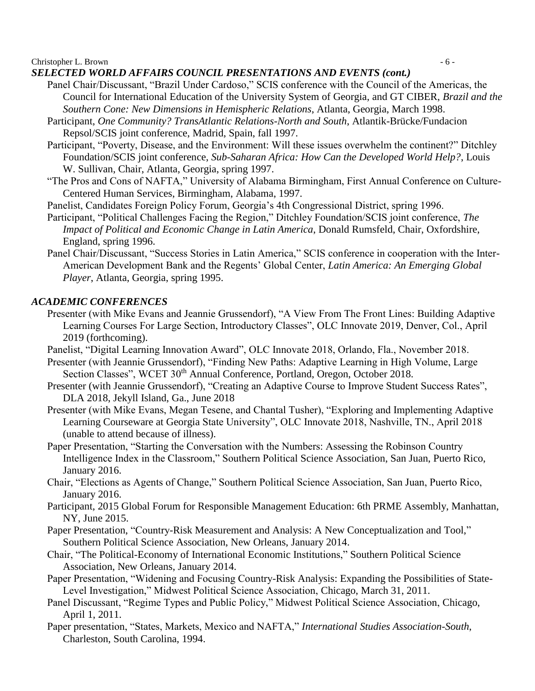Christopher L. Brown  $\sim$  6 -

# *SELECTED WORLD AFFAIRS COUNCIL PRESENTATIONS AND EVENTS (cont.)*

- Panel Chair/Discussant, "Brazil Under Cardoso," SCIS conference with the Council of the Americas, the Council for International Education of the University System of Georgia, and GT CIBER, *Brazil and the Southern Cone: New Dimensions in Hemispheric Relations*, Atlanta, Georgia, March 1998.
- Participant, *One Community? TransAtlantic Relations-North and South*, Atlantik-Brücke/Fundacion Repsol/SCIS joint conference, Madrid, Spain, fall 1997.
- Participant, "Poverty, Disease, and the Environment: Will these issues overwhelm the continent?" Ditchley Foundation/SCIS joint conference, *Sub-Saharan Africa: How Can the Developed World Help?*, Louis W. Sullivan, Chair, Atlanta, Georgia, spring 1997.
- "The Pros and Cons of NAFTA," University of Alabama Birmingham, First Annual Conference on Culture-Centered Human Services, Birmingham, Alabama, 1997.
- Panelist, Candidates Foreign Policy Forum, Georgia's 4th Congressional District, spring 1996.
- Participant, "Political Challenges Facing the Region," Ditchley Foundation/SCIS joint conference, *The Impact of Political and Economic Change in Latin America*, Donald Rumsfeld, Chair, Oxfordshire, England, spring 1996.
- Panel Chair/Discussant, "Success Stories in Latin America," SCIS conference in cooperation with the Inter-American Development Bank and the Regents' Global Center, *Latin America: An Emerging Global Player*, Atlanta, Georgia, spring 1995.

# *ACADEMIC CONFERENCES*

Presenter (with Mike Evans and Jeannie Grussendorf), "A View From The Front Lines: Building Adaptive Learning Courses For Large Section, Introductory Classes", OLC Innovate 2019, Denver, Col., April 2019 (forthcoming).

Panelist, "Digital Learning Innovation Award", OLC Innovate 2018, Orlando, Fla., November 2018.

- Presenter (with Jeannie Grussendorf), "Finding New Paths: Adaptive Learning in High Volume, Large Section Classes", WCET 30<sup>th</sup> Annual Conference, Portland, Oregon, October 2018.
- Presenter (with Jeannie Grussendorf), "Creating an Adaptive Course to Improve Student Success Rates", DLA 2018, Jekyll Island, Ga., June 2018
- Presenter (with Mike Evans, Megan Tesene, and Chantal Tusher), "Exploring and Implementing Adaptive Learning Courseware at Georgia State University", OLC Innovate 2018, Nashville, TN., April 2018 (unable to attend because of illness).
- Paper Presentation, "Starting the Conversation with the Numbers: Assessing the Robinson Country Intelligence Index in the Classroom," Southern Political Science Association, San Juan, Puerto Rico, January 2016.
- Chair, "Elections as Agents of Change," Southern Political Science Association, San Juan, Puerto Rico, January 2016.
- Participant, 2015 Global Forum for Responsible Management Education: 6th PRME Assembly, Manhattan, NY, June 2015.
- Paper Presentation, "Country-Risk Measurement and Analysis: A New Conceptualization and Tool," Southern Political Science Association, New Orleans, January 2014.
- Chair, "The Political-Economy of International Economic Institutions," Southern Political Science Association, New Orleans, January 2014.
- Paper Presentation, "Widening and Focusing Country-Risk Analysis: Expanding the Possibilities of State-Level Investigation," Midwest Political Science Association, Chicago, March 31, 2011.
- Panel Discussant, "Regime Types and Public Policy," Midwest Political Science Association, Chicago, April 1, 2011.
- Paper presentation, "States, Markets, Mexico and NAFTA," *International Studies Association-South*, Charleston, South Carolina, 1994.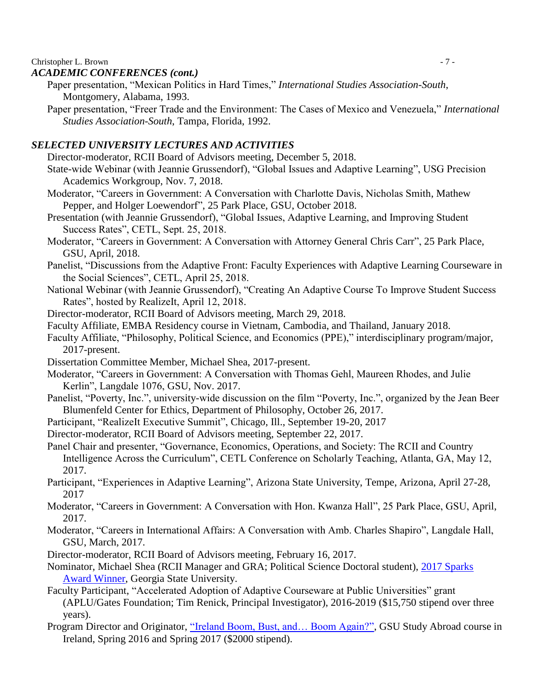#### Christopher L. Brown  $\overline{z}$  - 7 -

### *ACADEMIC CONFERENCES (cont.)*

- Paper presentation, "Mexican Politics in Hard Times," *International Studies Association-South*, Montgomery, Alabama, 1993.
- Paper presentation, "Freer Trade and the Environment: The Cases of Mexico and Venezuela," *International Studies Association-South*, Tampa, Florida, 1992.

### *SELECTED UNIVERSITY LECTURES AND ACTIVITIES*

Director-moderator, RCII Board of Advisors meeting, December 5, 2018.

- State-wide Webinar (with Jeannie Grussendorf), "Global Issues and Adaptive Learning", USG Precision Academics Workgroup, Nov. 7, 2018.
- Moderator, "Careers in Government: A Conversation with Charlotte Davis, Nicholas Smith, Mathew Pepper, and Holger Loewendorf", 25 Park Place, GSU, October 2018.
- Presentation (with Jeannie Grussendorf), "Global Issues, Adaptive Learning, and Improving Student Success Rates", CETL, Sept. 25, 2018.
- Moderator, "Careers in Government: A Conversation with Attorney General Chris Carr", 25 Park Place, GSU, April, 2018.
- Panelist, "Discussions from the Adaptive Front: Faculty Experiences with Adaptive Learning Courseware in the Social Sciences", CETL, April 25, 2018.
- National Webinar (with Jeannie Grussendorf), "Creating An Adaptive Course To Improve Student Success Rates", hosted by RealizeIt, April 12, 2018.
- Director-moderator, RCII Board of Advisors meeting, March 29, 2018.
- Faculty Affiliate, EMBA Residency course in Vietnam, Cambodia, and Thailand, January 2018.
- Faculty Affiliate, "Philosophy, Political Science, and Economics (PPE)," interdisciplinary program/major, 2017-present.
- Dissertation Committee Member, Michael Shea, 2017-present.
- Moderator, "Careers in Government: A Conversation with Thomas Gehl, Maureen Rhodes, and Julie Kerlin", Langdale 1076, GSU, Nov. 2017.
- Panelist, "Poverty, Inc.", university-wide discussion on the film "Poverty, Inc.", organized by the Jean Beer Blumenfeld Center for Ethics, Department of Philosophy, October 26, 2017.
- Participant, "RealizeIt Executive Summit", Chicago, Ill., September 19-20, 2017
- Director-moderator, RCII Board of Advisors meeting, September 22, 2017.
- Panel Chair and presenter, "Governance, Economics, Operations, and Society: The RCII and Country Intelligence Across the Curriculum", CETL Conference on Scholarly Teaching, Atlanta, GA, May 12, 2017.
- Participant, "Experiences in Adaptive Learning", Arizona State University, Tempe, Arizona, April 27-28, 2017
- Moderator, "Careers in Government: A Conversation with Hon. Kwanza Hall", 25 Park Place, GSU, April, 2017.
- Moderator, "Careers in International Affairs: A Conversation with Amb. Charles Shapiro", Langdale Hall, GSU, March, 2017.
- Director-moderator, RCII Board of Advisors meeting, February 16, 2017.
- Nominator, Michael Shea (RCII Manager and GRA; Political Science Doctoral student), [2017 Sparks](https://www.youtube.com/watch?v=BaRorq3cKEU&feature=youtu.be)  [Award Winner,](https://www.youtube.com/watch?v=BaRorq3cKEU&feature=youtu.be) Georgia State University.
- Faculty Participant, "Accelerated Adoption of Adaptive Courseware at Public Universities" grant (APLU/Gates Foundation; Tim Renick, Principal Investigator), 2016-2019 (\$15,750 stipend over three years).
- Program Director and Originator, "Ireland Boom, Bust, and... Boom Again?", GSU Study Abroad course in Ireland, Spring 2016 and Spring 2017 (\$2000 stipend).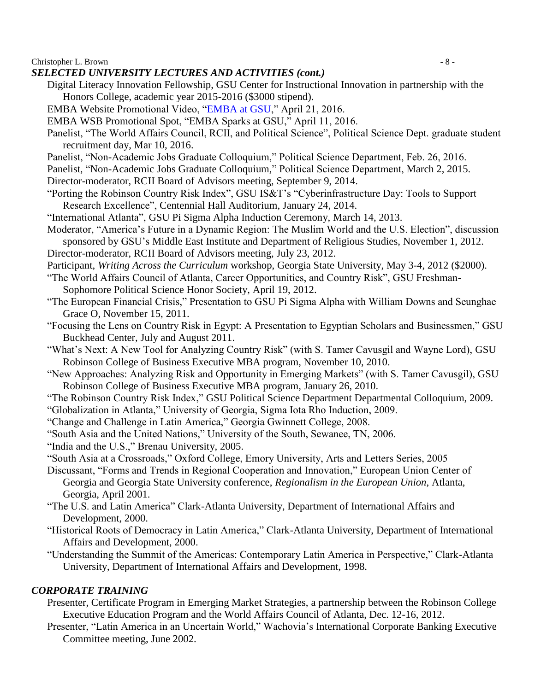Christopher L. Brown  $\sim$  8 -

### *SELECTED UNIVERSITY LECTURES AND ACTIVITIES (cont.)*

- Digital Literacy Innovation Fellowship, GSU Center for Instructional Innovation in partnership with the Honors College, academic year 2015-2016 (\$3000 stipend).
- EMBA Website Promotional Video, ["EMBA at GSU,](http://robinson.gsu.edu/emba/)" April 21, 2016.
- EMBA WSB Promotional Spot, "EMBA Sparks at GSU," April 11, 2016.
- Panelist, "The World Affairs Council, RCII, and Political Science", Political Science Dept. graduate student recruitment day, Mar 10, 2016.
- Panelist, "Non-Academic Jobs Graduate Colloquium," Political Science Department, Feb. 26, 2016.
- Panelist, "Non-Academic Jobs Graduate Colloquium," Political Science Department, March 2, 2015.
- Director-moderator, RCII Board of Advisors meeting, September 9, 2014.
- "Porting the Robinson Country Risk Index", GSU IS&T's "Cyberinfrastructure Day: Tools to Support Research Excellence", Centennial Hall Auditorium, January 24, 2014.
- "International Atlanta", GSU Pi Sigma Alpha Induction Ceremony, March 14, 2013.
- Moderator, "America's Future in a Dynamic Region: The Muslim World and the U.S. Election", discussion sponsored by GSU's Middle East Institute and Department of Religious Studies, November 1, 2012.
- Director-moderator, RCII Board of Advisors meeting, July 23, 2012.
- Participant, *Writing Across the Curriculum* workshop, Georgia State University, May 3-4, 2012 (\$2000).
- "The World Affairs Council of Atlanta, Career Opportunities, and Country Risk", GSU Freshman-
- Sophomore Political Science Honor Society, April 19, 2012.
- "The European Financial Crisis," Presentation to GSU Pi Sigma Alpha with William Downs and Seunghae Grace O, November 15, 2011.
- "Focusing the Lens on Country Risk in Egypt: A Presentation to Egyptian Scholars and Businessmen," GSU Buckhead Center, July and August 2011.
- "What's Next: A New Tool for Analyzing Country Risk" (with S. Tamer Cavusgil and Wayne Lord), GSU Robinson College of Business Executive MBA program, November 10, 2010.
- "New Approaches: Analyzing Risk and Opportunity in Emerging Markets" (with S. Tamer Cavusgil), GSU Robinson College of Business Executive MBA program, January 26, 2010.
- "The Robinson Country Risk Index," GSU Political Science Department Departmental Colloquium, 2009.
- "Globalization in Atlanta," University of Georgia, Sigma Iota Rho Induction, 2009.
- "Change and Challenge in Latin America," Georgia Gwinnett College, 2008.
- "South Asia and the United Nations," University of the South, Sewanee, TN, 2006.
- "India and the U.S.," Brenau University, 2005.
- "South Asia at a Crossroads," Oxford College, Emory University, Arts and Letters Series, 2005
- Discussant, "Forms and Trends in Regional Cooperation and Innovation," European Union Center of Georgia and Georgia State University conference, *Regionalism in the European Union*, Atlanta, Georgia, April 2001.
- "The U.S. and Latin America" Clark-Atlanta University, Department of International Affairs and Development, 2000.
- "Historical Roots of Democracy in Latin America," Clark-Atlanta University, Department of International Affairs and Development, 2000.
- "Understanding the Summit of the Americas: Contemporary Latin America in Perspective," Clark-Atlanta University, Department of International Affairs and Development, 1998.

# *CORPORATE TRAINING*

- Presenter, Certificate Program in Emerging Market Strategies, a partnership between the Robinson College Executive Education Program and the World Affairs Council of Atlanta, Dec. 12-16, 2012.
- Presenter, "Latin America in an Uncertain World," Wachovia's International Corporate Banking Executive Committee meeting, June 2002.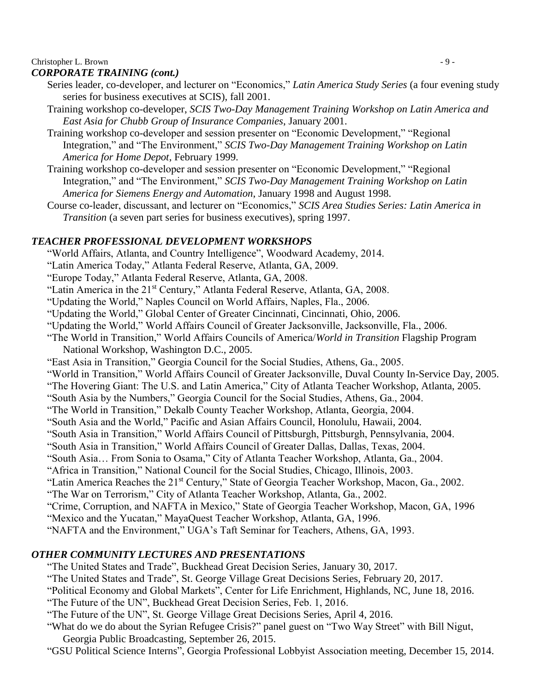# Christopher L. Brown  $\sim$  9 -

# *CORPORATE TRAINING (cont.)*

- Series leader, co-developer, and lecturer on "Economics," *Latin America Study Series* (a four evening study series for business executives at SCIS), fall 2001.
- Training workshop co-developer, *SCIS Two-Day Management Training Workshop on Latin America and East Asia for Chubb Group of Insurance Companies*, January 2001.
- Training workshop co-developer and session presenter on "Economic Development," "Regional Integration," and "The Environment," *SCIS Two-Day Management Training Workshop on Latin America for Home Depot*, February 1999.
- Training workshop co-developer and session presenter on "Economic Development," "Regional Integration," and "The Environment," *SCIS Two-Day Management Training Workshop on Latin America for Siemens Energy and Automation*, January 1998 and August 1998.
- Course co-leader, discussant, and lecturer on "Economics," *SCIS Area Studies Series: Latin America in Transition* (a seven part series for business executives), spring 1997.

# *TEACHER PROFESSIONAL DEVELOPMENT WORKSHOPS*

"World Affairs, Atlanta, and Country Intelligence", Woodward Academy, 2014.

"Latin America Today," Atlanta Federal Reserve, Atlanta, GA, 2009.

"Europe Today," Atlanta Federal Reserve, Atlanta, GA, 2008.

"Latin America in the 21<sup>st</sup> Century," Atlanta Federal Reserve, Atlanta, GA, 2008.

"Updating the World," Naples Council on World Affairs, Naples, Fla., 2006.

"Updating the World," Global Center of Greater Cincinnati, Cincinnati, Ohio, 2006.

"Updating the World," World Affairs Council of Greater Jacksonville, Jacksonville, Fla., 2006.

- "The World in Transition," World Affairs Councils of America/*World in Transition* Flagship Program National Workshop, Washington D.C., 2005.
- "East Asia in Transition," Georgia Council for the Social Studies, Athens, Ga., 2005.
- "World in Transition," World Affairs Council of Greater Jacksonville, Duval County In-Service Day, 2005.

"The Hovering Giant: The U.S. and Latin America," City of Atlanta Teacher Workshop, Atlanta, 2005.

- "South Asia by the Numbers," Georgia Council for the Social Studies, Athens, Ga., 2004.
- "The World in Transition," Dekalb County Teacher Workshop, Atlanta, Georgia, 2004.
- "South Asia and the World," Pacific and Asian Affairs Council, Honolulu, Hawaii, 2004.
- "South Asia in Transition," World Affairs Council of Pittsburgh, Pittsburgh, Pennsylvania, 2004.

"South Asia in Transition," World Affairs Council of Greater Dallas, Dallas, Texas, 2004.

- "South Asia… From Sonia to Osama," City of Atlanta Teacher Workshop, Atlanta, Ga., 2004.
- "Africa in Transition," National Council for the Social Studies, Chicago, Illinois, 2003.

"Latin America Reaches the 21st Century," State of Georgia Teacher Workshop, Macon, Ga., 2002.

- "The War on Terrorism," City of Atlanta Teacher Workshop, Atlanta, Ga., 2002.
- "Crime, Corruption, and NAFTA in Mexico," State of Georgia Teacher Workshop, Macon, GA, 1996
- "Mexico and the Yucatan," MayaQuest Teacher Workshop, Atlanta, GA, 1996.

"NAFTA and the Environment," UGA's Taft Seminar for Teachers, Athens, GA, 1993.

# *OTHER COMMUNITY LECTURES AND PRESENTATIONS*

"The United States and Trade", Buckhead Great Decision Series, January 30, 2017.

"The United States and Trade", St. George Village Great Decisions Series, February 20, 2017.

"Political Economy and Global Markets", Center for Life Enrichment, Highlands, NC, June 18, 2016.

"The Future of the UN", Buckhead Great Decision Series, Feb. 1, 2016.

- "The Future of the UN", St. George Village Great Decisions Series, April 4, 2016.
- "What do we do about the Syrian Refugee Crisis?" panel guest on "Two Way Street" with Bill Nigut, Georgia Public Broadcasting, September 26, 2015.

"GSU Political Science Interns", Georgia Professional Lobbyist Association meeting, December 15, 2014.